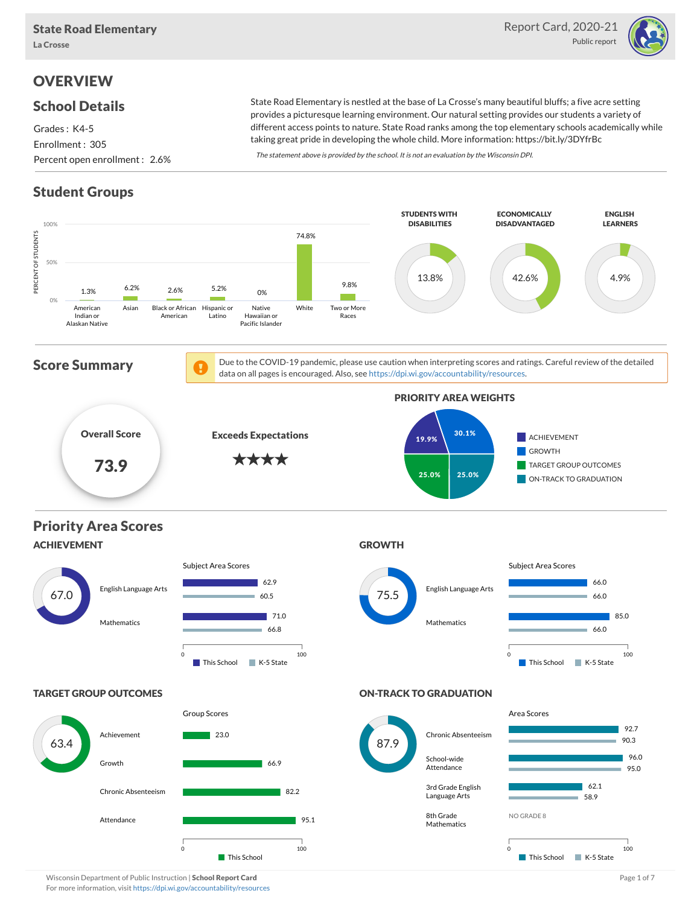

# **OVERVIEW**

#### School Details

Grades : K4-5 Enrollment : 305 Percent open enrollment : 2.6%

State Road Elementary is nestled at the base of La Crosse's many beautiful bluffs; a five acre setting provides a picturesque learning environment. Our natural setting provides our students a variety of different access points to nature. State Road ranks among the top elementary schools academically while taking great pride in developing the whole child. More information: https://bit.ly/3DYfrBc

The statement above is provided by the school. It is not an evaluation by the Wisconsin DPI.

# Student Groups



Wisconsin Department of Public Instruction | School Report Card Page 1 of 7 and 2008 and Page 1 of 7 and Page 1 of 7 For more information, visit <https://dpi.wi.gov/accountability/resources>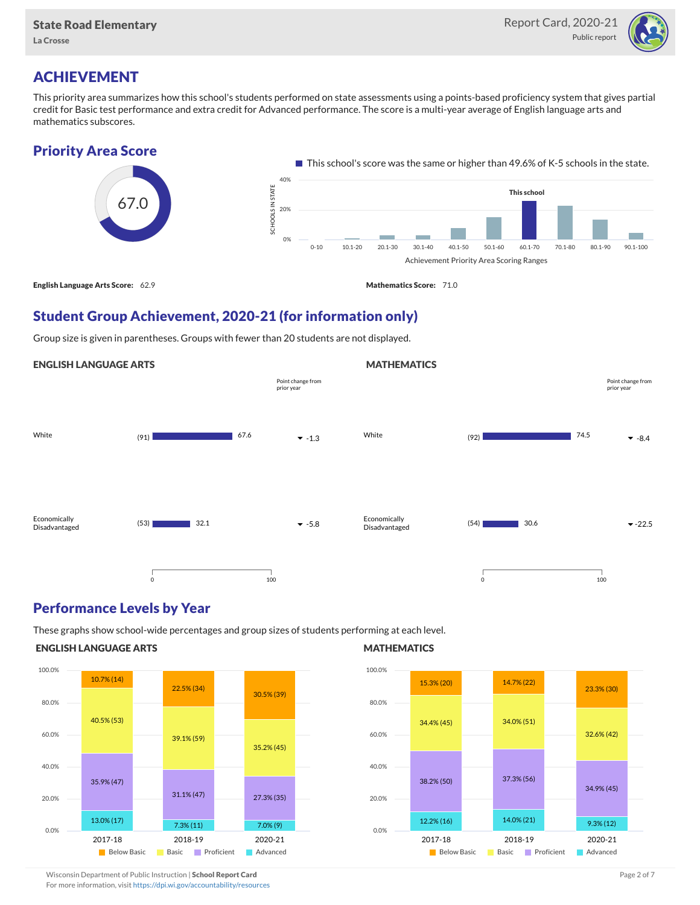

## ACHIEVEMENT

This priority area summarizes how this school's students performed on state assessments using a points-based proficiency system that gives partial credit for Basic test performance and extra credit for Advanced performance. The score is a multi-year average of English language arts and mathematics subscores.





### Student Group Achievement, 2020-21 (for information only)

Group size is given in parentheses. Groups with fewer than 20 students are not displayed.



#### Performance Levels by Year

These graphs show school-wide percentages and group sizes of students performing at each level.

#### ENGLISH LANGUAGE ARTS



#### **MATHEMATICS**



Wisconsin Department of Public Instruction | School Report Card Page 2 of 7 and 2008 and 2009 and 2 of 7 and 2 of 7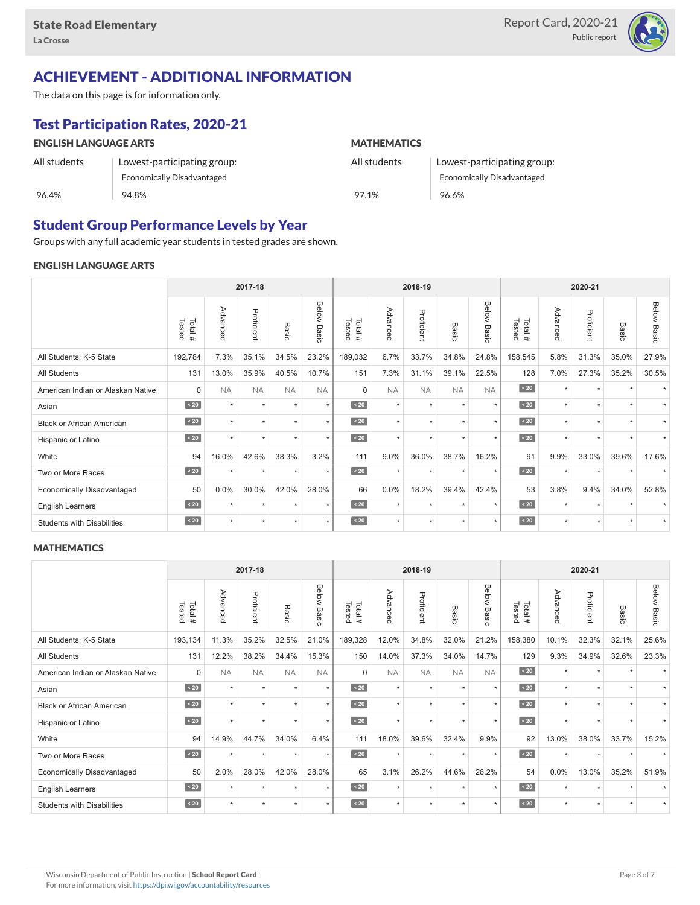

## ACHIEVEMENT - ADDITIONAL INFORMATION

The data on this page is for information only.

# Test Participation Rates, 2020-21

| <b>ENGLISH LANGUAGE ARTS</b> |                             | <b>MATHEMATICS</b> |                                   |  |  |  |  |  |
|------------------------------|-----------------------------|--------------------|-----------------------------------|--|--|--|--|--|
| All students                 | Lowest-participating group: | All students       | Lowest-participating group:       |  |  |  |  |  |
|                              | Economically Disadvantaged  |                    | <b>Economically Disadvantaged</b> |  |  |  |  |  |
| 96.4%                        | 94.8%                       | 97.1%              | 96.6%                             |  |  |  |  |  |

### Student Group Performance Levels by Year

Groups with any full academic year students in tested grades are shown.

#### ENGLISH LANGUAGE ARTS

|                                   | 2017-18          |           |            |           |                    |                  |           | 2018-19    |           |                |                  | 2020-21  |            |           |                    |  |
|-----------------------------------|------------------|-----------|------------|-----------|--------------------|------------------|-----------|------------|-----------|----------------|------------------|----------|------------|-----------|--------------------|--|
|                                   | Tested<br>Total# | Advanced  | Proficient | Basic     | <b>Below Basic</b> | Tested<br>Total# | Advanced  | Proficient | Basic     | Below<br>Basic | Tested<br>Total# | Advanced | Proficient | Basic     | <b>Below Basic</b> |  |
| All Students: K-5 State           | 192,784          | 7.3%      | 35.1%      | 34.5%     | 23.2%              | 189,032          | 6.7%      | 33.7%      | 34.8%     | 24.8%          | 158,545          | 5.8%     | 31.3%      | 35.0%     | 27.9%              |  |
| All Students                      | 131              | 13.0%     | 35.9%      | 40.5%     | 10.7%              | 151              | 7.3%      | 31.1%      | 39.1%     | 22.5%          | 128              | 7.0%     | 27.3%      | 35.2%     | 30.5%              |  |
| American Indian or Alaskan Native | $\Omega$         | <b>NA</b> | <b>NA</b>  | <b>NA</b> | <b>NA</b>          | $\Omega$         | <b>NA</b> | <b>NA</b>  | <b>NA</b> | <b>NA</b>      | $\angle 20$      | $\star$  | $\star$    | $\ddot{}$ |                    |  |
| Asian                             | $\sim 20$        | $\star$   | $\star$    | ٠         | $\star$            | $\sim 20$        | $\star$   | $\star$    | $\star$   | $\star$        | $\sim 20$        | $\star$  | $\star$    | $\ddot{}$ |                    |  |
| <b>Black or African American</b>  | $\sim 20$        | ٠         | ٠          |           | $\star$            | $\sim 20$        | $\star$   | $\star$    | ٠         | $\star$        | $\leq 20$        | $\star$  | ٠          |           |                    |  |
| Hispanic or Latino                | $\angle 20$      | $\star$   | $\star$    | $\star$   | $\star$            | $\angle 20$      | $\star$   | $\star$    | $\star$   | $\star$        | $\angle 20$      | $\star$  | $\star$    |           |                    |  |
| White                             | 94               | 16.0%     | 42.6%      | 38.3%     | 3.2%               | 111              | 9.0%      | 36.0%      | 38.7%     | 16.2%          | 91               | 9.9%     | 33.0%      | 39.6%     | 17.6%              |  |
| Two or More Races                 | $\sim 20$        |           | $\star$    | $\star$   | $\star$            | $\sim 20$        | $\star$   | $\star$    | $\star$   | $\star$        | $\angle 20$      | $\star$  | $\star$    |           |                    |  |
| <b>Economically Disadvantaged</b> | 50               | 0.0%      | 30.0%      | 42.0%     | 28.0%              | 66               | 0.0%      | 18.2%      | 39.4%     | 42.4%          | 53               | 3.8%     | 9.4%       | 34.0%     | 52.8%              |  |
| <b>English Learners</b>           | $\sim 20$        |           | $\star$    | $\star$   | $\star$            | $\angle 20$      | $\star$   | $\star$    | $\ddot{}$ | $\star$        | $\angle 20$      | $\star$  | $\star$    |           |                    |  |
| <b>Students with Disabilities</b> | $\sim 20$        | $\star$   | $\star$    | $\star$   | $\star$            | $\sim 20$        | $\star$   | $\star$    | $\star$   | $\star$        | $\sim 20$        | $\star$  | $\star$    | $\star$   |                    |  |

#### **MATHEMATICS**

|                                   | 2017-18           |                      |            |           | 2018-19        |                  |           |            | 2020-21   |                |                  |          |            |           |                    |
|-----------------------------------|-------------------|----------------------|------------|-----------|----------------|------------------|-----------|------------|-----------|----------------|------------------|----------|------------|-----------|--------------------|
|                                   | Tested<br>Total # | Advanced             | Proficient | Basic     | Below<br>Basic | Total#<br>Tested | Advanced  | Proficient | Basic     | Below<br>Basic | Tested<br>Total# | Advanced | Proficient | Basic     | <b>Below Basic</b> |
| All Students: K-5 State           | 193,134           | 11.3%                | 35.2%      | 32.5%     | 21.0%          | 189,328          | 12.0%     | 34.8%      | 32.0%     | 21.2%          | 158,380          | 10.1%    | 32.3%      | 32.1%     | 25.6%              |
| <b>All Students</b>               | 131               | 12.2%                | 38.2%      | 34.4%     | 15.3%          | 150              | 14.0%     | 37.3%      | 34.0%     | 14.7%          | 129              | 9.3%     | 34.9%      | 32.6%     | 23.3%              |
| American Indian or Alaskan Native | $\Omega$          | <b>NA</b>            | <b>NA</b>  | <b>NA</b> | <b>NA</b>      | $\Omega$         | <b>NA</b> | <b>NA</b>  | <b>NA</b> | <b>NA</b>      | $\angle 20$      | $\star$  | $\star$    |           |                    |
| Asian                             | $\sim 20$         | $\star$              | $\star$    | $\ddot{}$ | $\star$        | $\sim 20$        | $\star$   | $\star$    | $\star$   | $\star$        | $\angle 20$      | $\star$  | $\star$    | $\ddot{}$ |                    |
| <b>Black or African American</b>  | $\angle 20$       | $\ddot{\phantom{1}}$ | $\star$    | ٠         | $\star$        | $\angle 20$      | $\star$   | $\star$    |           | $\star$        | $\angle 20$      | $\star$  | ٠          |           |                    |
| Hispanic or Latino                | $\angle 20$       | $\ddot{}$            | $\star$    | $\star$   | $\star$        | $\sim 20$        | $\star$   | $\star$    | $\ddot{}$ | $\star$        | $\angle 20$      | $\star$  | $\star$    |           |                    |
| White                             | 94                | 14.9%                | 44.7%      | 34.0%     | 6.4%           | 111              | 18.0%     | 39.6%      | 32.4%     | 9.9%           | 92               | 13.0%    | 38.0%      | 33.7%     | 15.2%              |
| Two or More Races                 | $\sim 20$         | $\ddot{}$            | $\star$    | $\star$   | $\star$        | $\sim 20$        | $\star$   | $\star$    | $\star$   | $\star$        | $\sim 20$        | $\star$  | $\star$    |           |                    |
| <b>Economically Disadvantaged</b> | 50                | 2.0%                 | 28.0%      | 42.0%     | 28.0%          | 65               | 3.1%      | 26.2%      | 44.6%     | 26.2%          | 54               | 0.0%     | 13.0%      | 35.2%     | 51.9%              |
| English Learners                  | $\angle 20$       | $\star$              | $\star$    | $\star$   | $\star$        | $\angle 20$      | $\star$   | $\star$    | $\star$   | $\star$        | $\sim 20$        | $\star$  | $\star$    |           |                    |
| <b>Students with Disabilities</b> | $\sim 20$         | $\star$              | $\star$    | $\star$   | $\star$        | $\angle 20$      | $\star$   | $\star$    |           | $\star$        | $\sim 20$        | $\star$  | $\star$    |           |                    |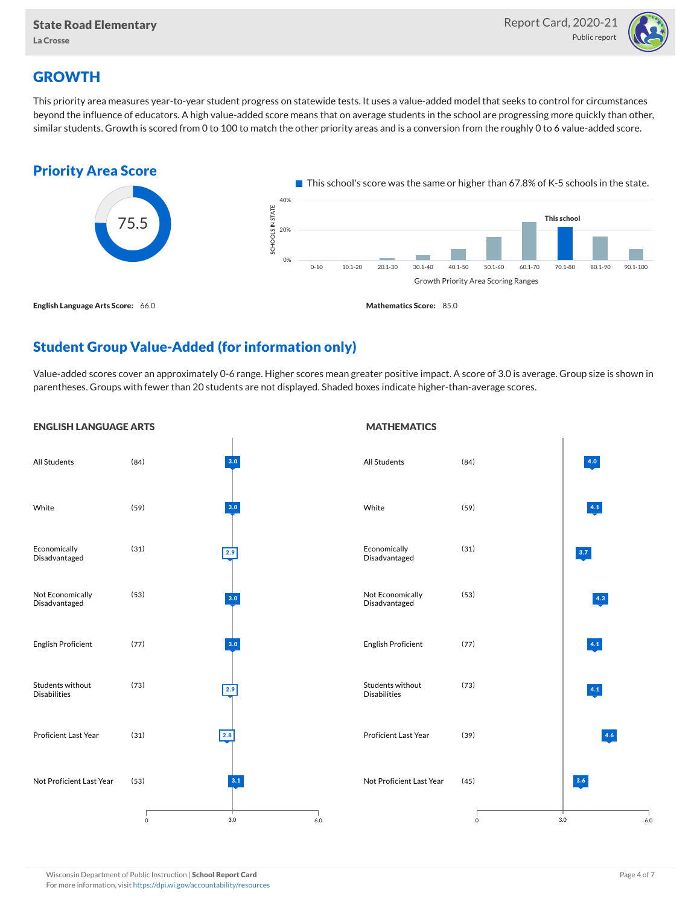

## **GROWTH**

This priority area measures year-to-year student progress on statewide tests. It uses a value-added model that seeks to control for circumstances beyond the influence of educators. A high value-added score means that on average students in the school are progressing more quickly than other, similar students. Growth is scored from 0 to 100 to match the other priority areas and is a conversion from the roughly 0 to 6 value-added score.



## Student Group Value-Added (for information only)

Value-added scores cover an approximately 0-6 range. Higher scores mean greater positive impact. A score of 3.0 is average. Group size is shown in parentheses. Groups with fewer than 20 students are not displayed. Shaded boxes indicate higher-than-average scores.

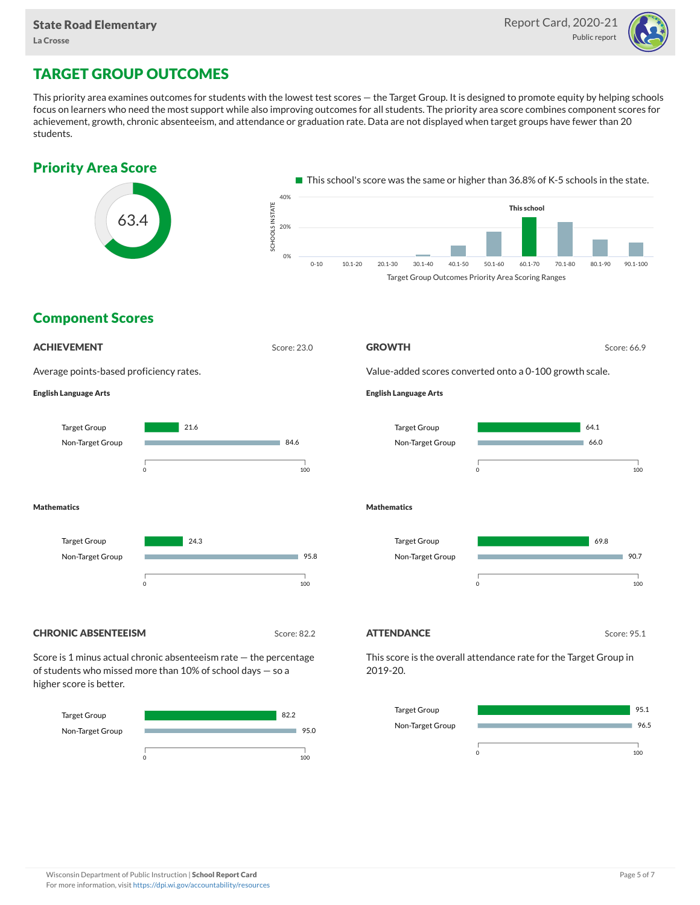

## TARGET GROUP OUTCOMES

This priority area examines outcomes for students with the lowest test scores — the Target Group. It is designed to promote equity by helping schools focus on learners who need the most support while also improving outcomes for all students. The priority area score combines component scores for achievement, growth, chronic absenteeism, and attendance or graduation rate. Data are not displayed when target groups have fewer than 20 students.



Non-Target Group



96.5

m.

0 100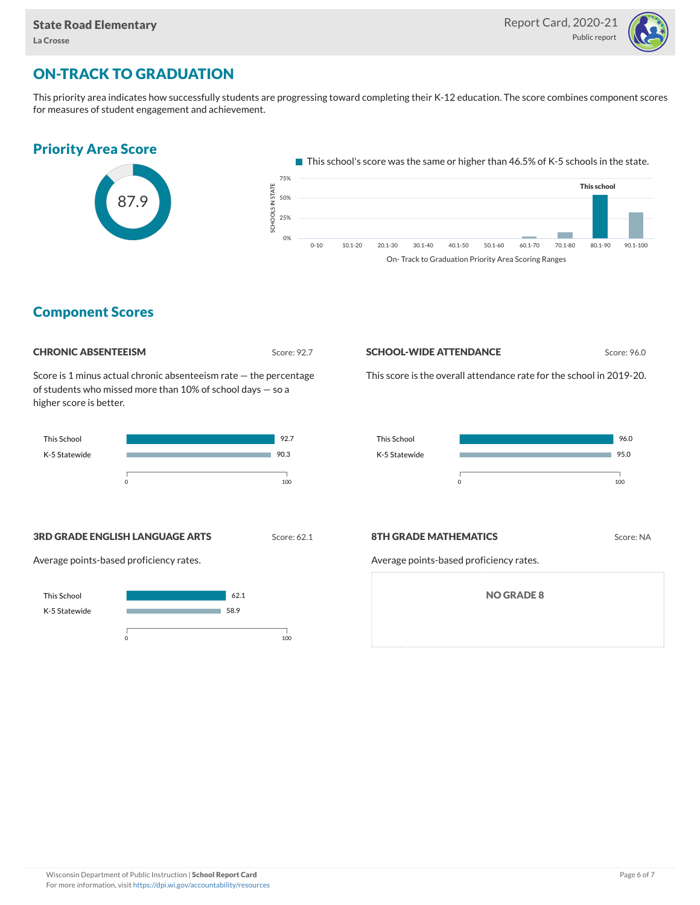

## ON-TRACK TO GRADUATION

This priority area indicates how successfully students are progressing toward completing their K-12 education. The score combines component scores for measures of student engagement and achievement.

# Priority Area Score



 $\blacksquare$  This school's score was the same or higher than 46.5% of K-5 schools in the state.



#### Component Scores

#### **CHRONIC ABSENTEEISM** Score: 92.7

Score is 1 minus actual chronic absenteeism rate — the percentage of students who missed more than 10% of school days — so a higher score is better.



#### **SCHOOL-WIDE ATTENDANCE** Score: 96.0

This score is the overall attendance rate for the school in 2019-20.



#### **3RD GRADE ENGLISH LANGUAGE ARTS** Score: 62.1

Average points-based proficiency rates.



#### **8TH GRADE MATHEMATICS** Score: NA

Average points-based proficiency rates.

NO GRADE 8